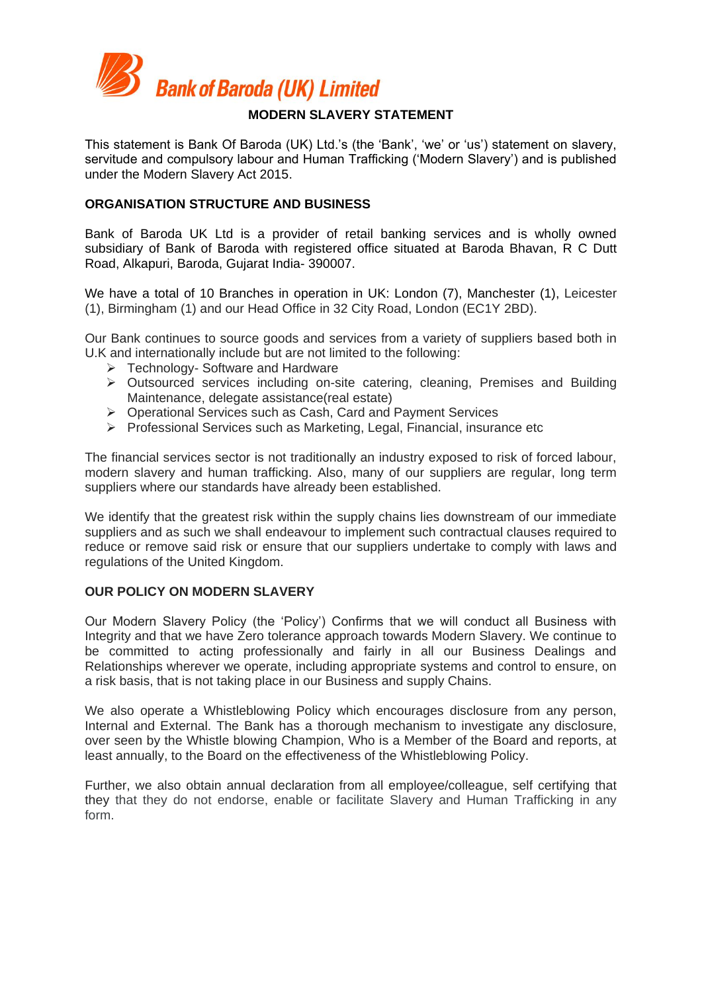

This statement is Bank Of Baroda (UK) Ltd.'s (the 'Bank', 'we' or 'us') statement on slavery, servitude and compulsory labour and Human Trafficking ('Modern Slavery') and is published under the Modern Slavery Act 2015.

## **ORGANISATION STRUCTURE AND BUSINESS**

Bank of Baroda UK Ltd is a provider of retail banking services and is wholly owned subsidiary of Bank of Baroda with registered office situated at Baroda Bhavan, R C Dutt Road, Alkapuri, Baroda, Gujarat India- 390007.

We have a total of 10 Branches in operation in UK: London (7), Manchester (1), Leicester (1), Birmingham (1) and our Head Office in 32 City Road, London (EC1Y 2BD).

Our Bank continues to source goods and services from a variety of suppliers based both in U.K and internationally include but are not limited to the following:

- Technology- Software and Hardware
- Outsourced services including on-site catering, cleaning, Premises and Building Maintenance, delegate assistance(real estate)
- Operational Services such as Cash, Card and Payment Services
- ▶ Professional Services such as Marketing, Legal, Financial, insurance etc

The financial services sector is not traditionally an industry exposed to risk of forced labour, modern slavery and human trafficking. Also, many of our suppliers are regular, long term suppliers where our standards have already been established.

We identify that the greatest risk within the supply chains lies downstream of our immediate suppliers and as such we shall endeavour to implement such contractual clauses required to reduce or remove said risk or ensure that our suppliers undertake to comply with laws and regulations of the United Kingdom.

# **OUR POLICY ON MODERN SLAVERY**

Our Modern Slavery Policy (the 'Policy') Confirms that we will conduct all Business with Integrity and that we have Zero tolerance approach towards Modern Slavery. We continue to be committed to acting professionally and fairly in all our Business Dealings and Relationships wherever we operate, including appropriate systems and control to ensure, on a risk basis, that is not taking place in our Business and supply Chains.

We also operate a Whistleblowing Policy which encourages disclosure from any person, Internal and External. The Bank has a thorough mechanism to investigate any disclosure, over seen by the Whistle blowing Champion, Who is a Member of the Board and reports, at least annually, to the Board on the effectiveness of the Whistleblowing Policy.

Further, we also obtain annual declaration from all employee/colleague, self certifying that they that they do not endorse, enable or facilitate Slavery and Human Trafficking in any form.